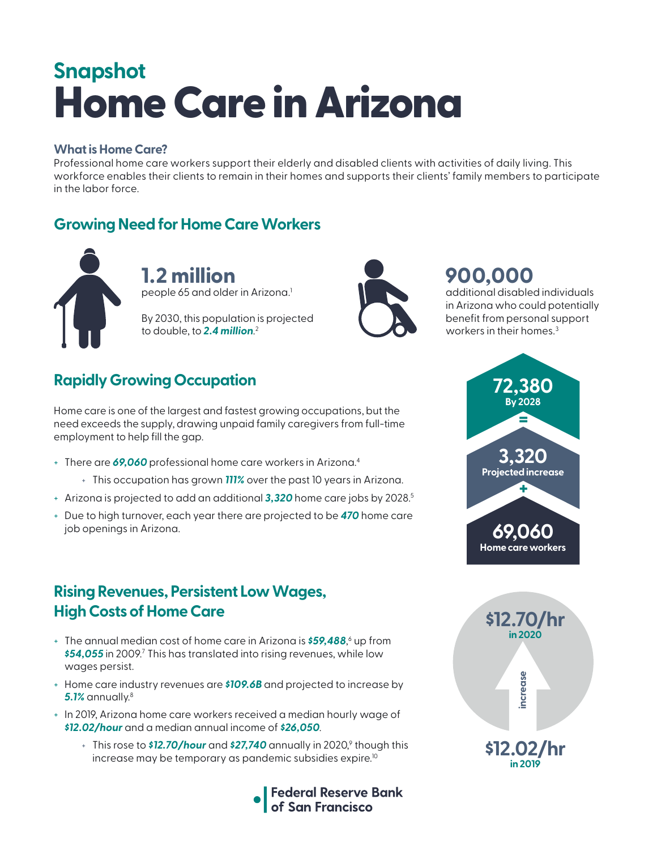# Home Care in Arizona **Snapshot**

#### **What is Home Care?**

Professional home care workers support their elderly and disabled clients with activities of daily living. This workforce enables their clients to remain in their homes and supports their clients' family members to participate in the labor force.

### **Growing Need for Home Care Workers**



**1.2 million**  people 65 and older in Arizona.<sup>1</sup>

By 2030, this population is projected to double, to *2.4 million*. 2



# **900,000**

additional disabled individuals in Arizona who could potentially benefit from personal support workers in their homes.<sup>3</sup>

# **Rapidly Growing Occupation**

Home care is one of the largest and fastest growing occupations, but the need exceeds the supply, drawing unpaid family caregivers from full-time employment to help fill the gap.

- + There are *69,060* professional home care workers in Arizona.4
	- + This occupation has grown *111%* over the past 10 years in Arizona.
- + Arizona is projected to add an additional *3,320* home care jobs by 2028.5
- + Due to high turnover, each year there are projected to be *470* home care job openings in Arizona.

#### **Rising Revenues, Persistent Low Wages, High Costs of Home Care**

- + The annual median cost of home care in Arizona is *\$59,488*, 6 up from \$54,055 in 2009.<sup>7</sup> This has translated into rising revenues, while low wages persist.
- + Home care industry revenues are *\$109.6B* and projected to increase by *5.1%* annually.8
- + In 2019, Arizona home care workers received a median hourly wage of *\$12.02/hour* and a median annual income of *\$26,050*.
	- + This rose to **\$12.70/hour** and **\$27,740** annually in 2020,<sup>9</sup> though this increase may be temporary as pandemic subsidies expire.<sup>10</sup>





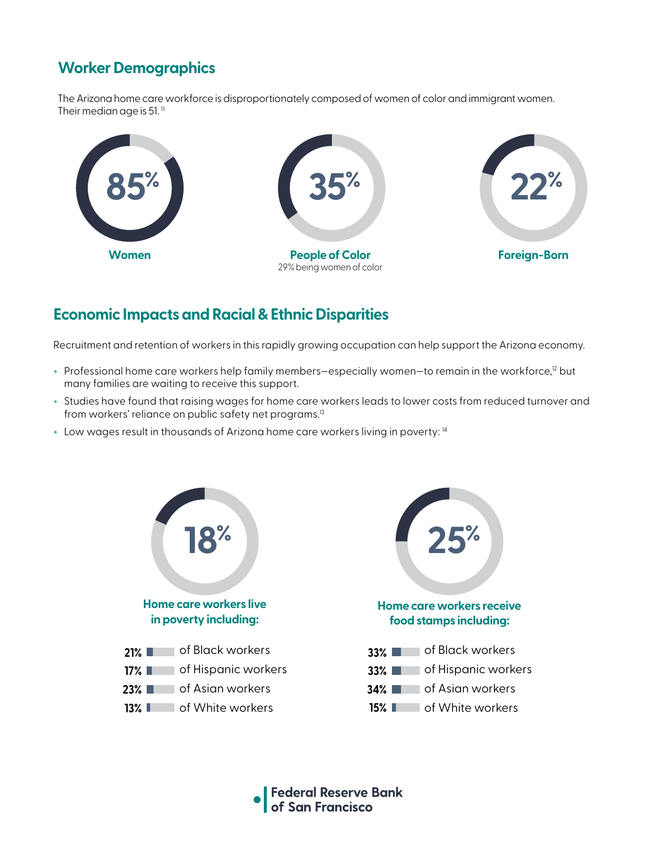# **Worker Demographics**

The Arizona home care workforce is disproportionately composed of women of color and immigrant women. Their median age is 51. $<sup>11</sup>$ </sup>



#### **Economic Impacts and Racial & Ethnic Disparities**

Recruitment and retention of workers in this rapidly growing occupation can help support the Arizona economy.

- + Professional home care workers help family members-especially women-to remain in the workforce,<sup>12</sup> but many families are waiting to receive this support.
- + Studies have found that raising wages for home care workers leads to lower costs from reduced turnover and from workers' reliance on public safety net programs.<sup>13</sup>
- + Low wages result in thousands of Arizona home care workers living in poverty: 14